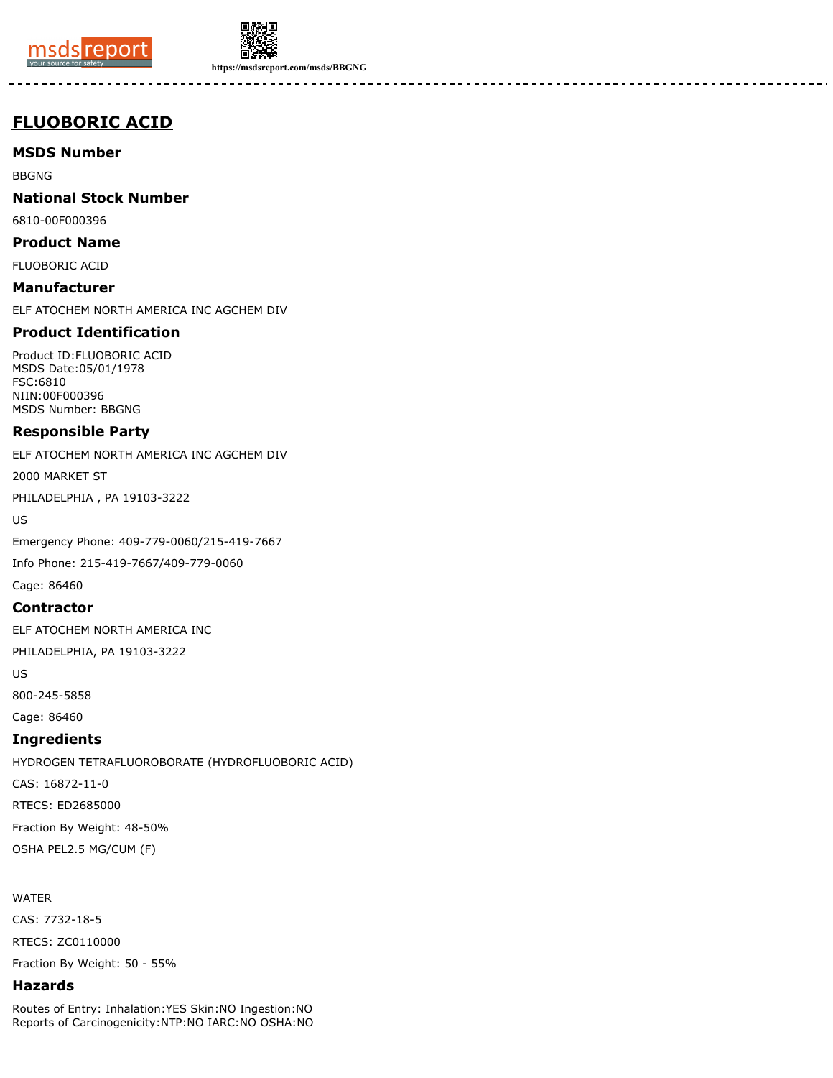



**https://msdsreport.com/msds/BBGNG**

# **FLUOBORIC ACID**

**MSDS Number**

BBGNG

**National Stock Number**

6810-00F000396

**Product Name** FLUOBORIC ACID

**Manufacturer** ELF ATOCHEM NORTH AMERICA INC AGCHEM DIV

## **Product Identification**

Product ID:FLUOBORIC ACID MSDS Date:05/01/1978 FSC:6810 NIIN:00F000396 MSDS Number: BBGNG

## **Responsible Party**

ELF ATOCHEM NORTH AMERICA INC AGCHEM DIV

2000 MARKET ST

PHILADELPHIA , PA 19103-3222

US

Emergency Phone: 409-779-0060/215-419-7667

Info Phone: 215-419-7667/409-779-0060

Cage: 86460

## **Contractor**

ELF ATOCHEM NORTH AMERICA INC

PHILADELPHIA, PA 19103-3222

US

800-245-5858

Cage: 86460

## **Ingredients**

HYDROGEN TETRAFLUOROBORATE (HYDROFLUOBORIC ACID) CAS: 16872-11-0 RTECS: ED2685000 Fraction By Weight: 48-50%

WATER

CAS: 7732-18-5

OSHA PEL2.5 MG/CUM (F)

RTECS: ZC0110000

Fraction By Weight: 50 - 55%

## **Hazards**

Routes of Entry: Inhalation:YES Skin:NO Ingestion:NO Reports of Carcinogenicity:NTP:NO IARC:NO OSHA:NO